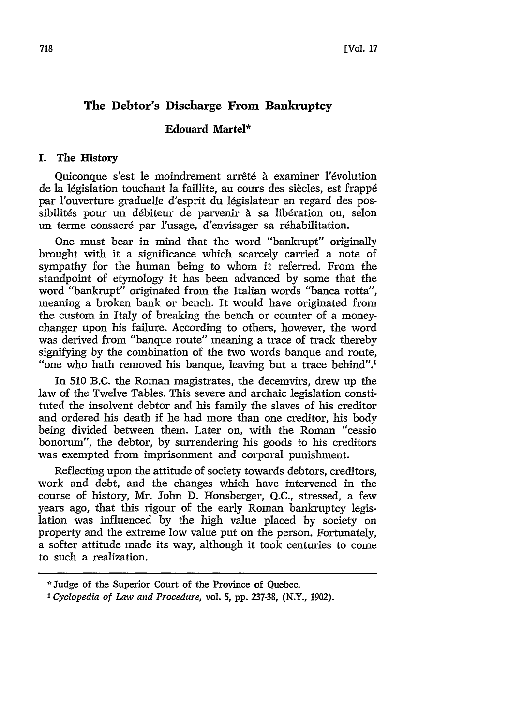# **The Debtor's Discharge From Bankruptcy**

## **Edouard Martel\***

#### **I. The History**

Quiconque s'est le moindrement arrêté à examiner l'évolution de la législation touchant la faillite, au cours des siècles, est frappé par l'ouverture graduelle d'esprit du législateur en regard des possibilités pour un débiteur de parvenir à sa libération ou, selon un terme consacré par l'usage, d'envisager sa réhabilitation.

One must bear in mind that the word "bankrupt" originally brought with it a significance which scarcely carried a note of sympathy for the human being to whom it referred. From the standpoint of etymology it has been advanced by some that the word "bankrupt" originated from the Italian words "banca rotta", meaning a broken bank or bench. It would have originated from the custom in Italy of breaking the bench or counter of a moneychanger upon his failure. According to others, however, the word was derived from "banque route" meaning a trace of track thereby signifying by the combination of the two words banque and route, "one who hath removed his banque, leaving but a trace behind".'

In 510 B.C. the Roman magistrates, the decemvirs, drew up the law of the Twelve Tables. This severe and archaic legislation constituted the insolvent debtor and his family the slaves of his creditor and ordered his death if he had more than one creditor, his body being divided between them. Later on, with the Roman "cessio bonorum", the debtor, by surrendering his goods to his creditors was exempted from imprisonment and corporal punishment.

Reflecting upon the attitude of society towards debtors, creditors, work and debt, and the changes which have intervened in the course of history, Mr. John D. Honsberger, Q.C., stressed, a few years ago, that this rigour of the early Roman bankruptcy legislation was influenced by the high value placed by society on property and the extreme low value put on the person. Fortunately, a softer attitude made its way, although it took centuries to come to such a realization.

<sup>\*</sup> Judge of the Superior Court of the Province of Quebec.

*<sup>&#</sup>x27;Cyclopedia of Law and Procedure,* vol. 5, **pp.** 237-38, (N.Y., 1902).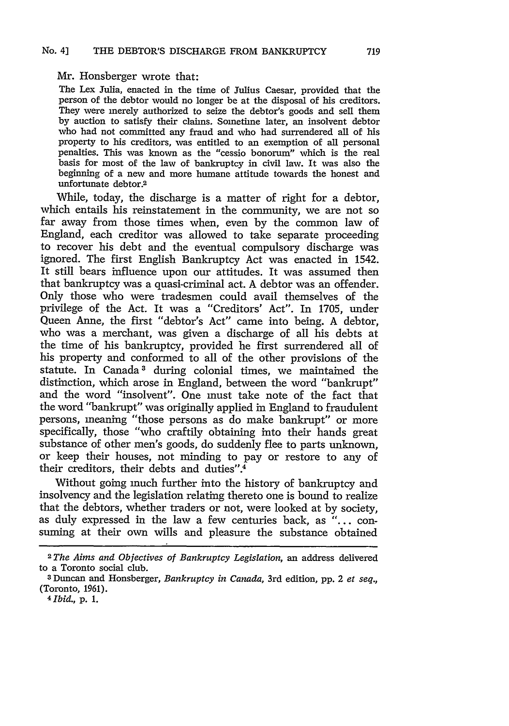Mr. Honsberger wrote that:

The Lex Julia, enacted in the time of Julius Caesar, provided that the person of the debtor would no longer be at the disposal of his creditors. They were merely authorized to seize the debtor's goods and sell them by auction to satisfy their claims. Sometime later, an insolvent debtor who had not committed any fraud and who had surrendered all of his property to his creditors, was entitled to an exemption of all personal penalties. This was known as the "cessio bonorum" which is the real basis for most of the law of bankruptcy in civil law. It was also the beginning of a new and more humane attitude towards the honest and unfortunate debtor.2

While, today, the discharge is a matter of right for a debtor, which entails his reinstatement in the community, we are not so far away from those times when, even by the common law of England, each creditor was allowed to take separate proceeding to recover his debt and the eventual compulsory discharge was ignored. The first English Bankruptcy Act was enacted in 1542. It still bears influence upon our attitudes. It was assumed then that bankruptcy was a quasi-criminal act. A debtor was an offender. Only those who were tradesmen could avail themselves of the privilege of the Act. It was a "Creditors' Act". In 1705, under Queen Anne, the first "debtor's Act" came into being. A debtor, who was a merchant, was given a discharge of all his debts at the time of his bankruptcy, provided he first surrendered all of his property and conformed to all of the other provisions of the statute. In Canada<sup>3</sup> during colonial times, we maintained the distinction, which arose in England, between the word "bankrupt" and the word "insolvent". One must take note of the fact that the word "bankrupt" was originally applied in England to fraudulent persons, meaning "those persons as do make bankrupt" or more specifically, those "who craftily obtaining into their hands great substance of other men's goods, do suddenly flee to parts unknown, or keep their houses, not minding to pay or restore to any of their creditors, their debts and duties".4

Without going much further into the history of bankruptcy and insolvency and the legislation relating thereto one is bound to realize that the debtors, whether traders or not, were looked at by society, as duly expressed in the law a few centuries back, as "... consuming at their own wills and pleasure the substance obtained

<sup>2</sup>The *Aims and Objectives of Bankruptcy Legislation,* an address delivered to a Toronto social club.

**<sup>3</sup>** Duncan and Honsberger, *Bankruptcy in Canada,* 3rd edition, pp. 2 *et seq.,* (Toronto, 1961).

<sup>4</sup> *Ibid.,* p. **1.**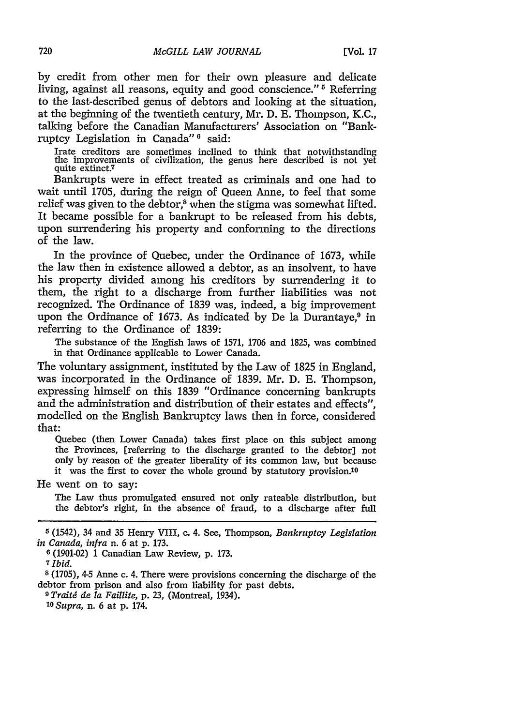by credit from other men for their own pleasure and delicate living, against all reasons, equity and good conscience."<sup>5</sup> Referring to the last-described genus of debtors and looking at the situation, at the beginning of the twentieth century, Mr. D. E. Thompson, K.C., talking before the Canadian Manufacturers' Association on "Bankruptcy Legislation in Canada"<sup>6</sup> said:

Irate creditors are sometimes inclined to think that notwithstanding the improvements of civilization, the genus here described is not yet quite extinct.7

Bankrupts were in effect treated as criminals and one had to wait until 1705, during the reign of Queen Anne, to feel that some relief was given to the debtor,<sup>8</sup> when the stigma was somewhat lifted. It became possible for a bankrupt to be released from his debts, upon surrendering his property and conforming to the directions of the law.

In the province of Quebec, under the Ordinance of 1673, while the law then in existence allowed a debtor, as an insolvent, to have his property divided among his creditors by surrendering it to them, the right to a discharge from further liabilities was not recognized. The Ordinance of 1839 was, indeed, a big improvement upon the Ordinance of 1673. As indicated by De la Durantaye, $9$  in referring to the Ordinance of 1839:

The substance of the English laws of 1571, 1706 and 1825, was combined in that Ordinance applicable to Lower Canada.

The voluntary assignment, instituted by the Law of 1825 in England, was incorporated in the Ordinance of 1839. Mr. D. E. Thompson, expressing himself on this 1839 "Ordinance concerning bankrupts and the administration and distribution of their estates and effects", modelled on the English Bankruptcy laws then in force, considered that:

Quebec (then Lower Canada) takes first place on this subject among the Provinces, [referring to the discharge granted to the debtor] not only by reason of the greater liberality of its common law, but because it was the first to cover the whole ground by statutory provision.10

He went on to say:

The Law thus promulgated ensured not only rateable distribution, but the debtor's right, in the absence of fraud, to a discharge after full

**6** (1901-02) 1 Canadian Law Review, **p.** 173.

*7Ibid.*

**8** (1705), 4-5 Anne c. 4. There were provisions concerning the discharge of the debtor from prison and also from liability for past debts.

**9** *Traitd de la Faillite,* p. **23,** (Montreal, 1934).

**<sup>10</sup>***Supra,* n. 6 at p. 174.

**<sup>5</sup>** (1542), 34 and 35 Henry VIII, c. 4. See, Thompson, *Bankruptcy Legislation in Canada, infra* n. 6 at **p.** 173.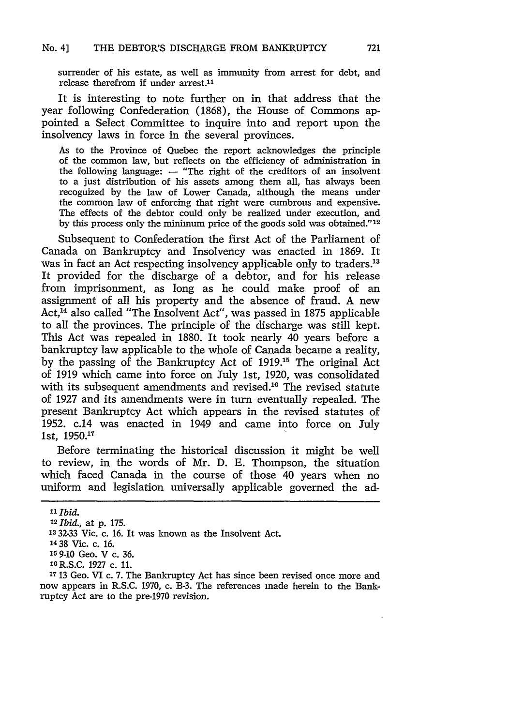surrender of his estate, as well as immunity from arrest for debt, and release therefrom if under arrest. $11$ 

It is interesting to note further on in that address that the year following Confederation **(1868),** the House of Commons appointed a Select Committee to inquire into and report upon the insolvency laws in force in the several provinces.

As to the Province of Quebec the report acknowledges the principle of the common law, but reflects on the efficiency of administration in the following language: **-** "The right of the creditors of an insolvent to a just distribution of his assets among them all, has always been recognized **by** the law of Lower Canada, although the means under the common law of enforcing that right were cumbrous and expensive. The effects of the debtor could only be realized under execution, and **by** this process only the minimum price of the goods sold was obtained."'<sup>12</sup>

Subsequent to Confederation the first Act of the Parliament of Canada on Bankruptcy and Insolvency was enacted in **1869.** It was in fact an Act respecting insolvency applicable only to traders.<sup>13</sup> It provided for the discharge of a debtor, and for his release from imprisonment, as long as he could make proof of an assignment of all his property and the absence of fraud. **A** new Act,'14 also called "The Insolvent Act", was passed in **1875** applicable to all the provinces. The principle of the discharge was still kept. This Act was repealed in **1880.** It took nearly 40 years before a bankruptcy law applicable to the whole of Canada became a reality, **by** the passing of the Bankruptcy Act of **1919. <sup>5</sup>**The original Act of **1919** which came into force on July 1st, **1920,** was consolidated with its subsequent amendments and revised.<sup>16</sup> The revised statute of **1927** and its amendments were in turn eventually repealed. The present Bankruptcy Act which appears in the revised statutes of **1952.** c.14 was enacted in 1949 and came into force on July ist, **1950.11**

Before terminating the historical discussion it might be well to review, in the words of Mr. **D. E.** Thompson, the situation which faced Canada in the course of those 40 years when no uniform and legislation universally applicable governed the ad-

*<sup>11</sup>* **Ibid.**

*<sup>12</sup>Ibid.,* at **p. 175.**

**<sup>13 32-33</sup>** Vic. c. **16.** It was known as the Insolvent Act.

**<sup>14</sup>38** Vic. c. **16.**

**<sup>15</sup>9-10** Geo. V c. **36.**

**<sup>16</sup> R.S.C. 1927** c. **11.**

**<sup>17</sup>13** Geo. VI c. **7.** The Bankruptcy Act has since been revised once more and now appears in R.S.C. **1970,** c. B-3. The references made herein to the Bankruptcy Act are to the pre-1970 revision.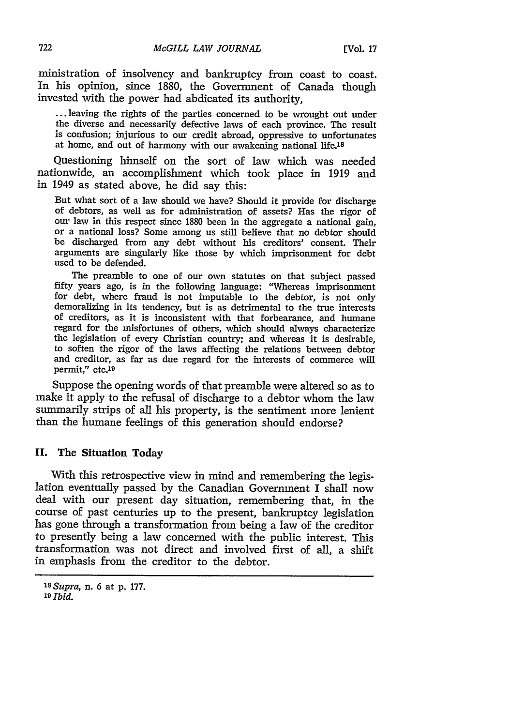ministration of insolvency and bankruptcy from coast to coast. In his opinion, since 1880, the Government of Canada though invested with the power had abdicated its authority,

**...** leaving the rights of the parties concerned to be wrought out under the diverse and necessarily defective laws of each province. The result is confusion; injurious to our credit abroad, oppressive to unfortunates at home, and out of harmony with our awakening national life.<sup>18</sup>

Questioning himself on the sort of law which was needed nationwide, an accomplishment which took place in 1919 and in 1949 as stated above, he did say this:

But what sort of a law should we have? Should it provide for discharge our law in this respect since 1880 been in the aggregate a national gain, or a national loss? Some among us still believe that no debtor should be discharged from any debt without his creditors' consent. Their arguments are singularly like those by which imprisonment for debt used to be defended.

The preamble to one of our own statutes on that subject passed fifty years ago, is in the following language: "Whereas imprisonment for debt, where fraud is not imputable to the debtor, is not only demoralizing in its tendency, but is as detrimental to the true interests of creditors, as it is inconsistent with that forbearance, and humane regard for the misfortunes of others, which should always characterize the legislation of every Christian country; and whereas it is desirable, to soften the rigor of the laws affecting the relations between debtor and creditor, as far as due regard for the interests of commerce will permit," etc.<sup>19</sup>

Suppose the opening words of that preamble were altered so as to make it apply to the refusal of discharge to a debtor whom the law summarily strips of all his property, is the sentiment more lenient than the humane feelings of this generation should endorse?

#### **II.** The Situation Today

With this retrospective view in mind and remembering the legislation eventually passed by the Canadian Government I shall now deal with our present day situation, remembering that, in the course of past centuries up to the present, bankruptcy legislation has gone through a transformation from being a law of the creditor to presently being a law concerned with the public interest. This transformation was not direct and involved first of all, a shift in emphasis from the creditor to the debtor.

*<sup>18</sup>Supra,* n. 6 at **p.** 177. *<sup>19</sup>Ibid.*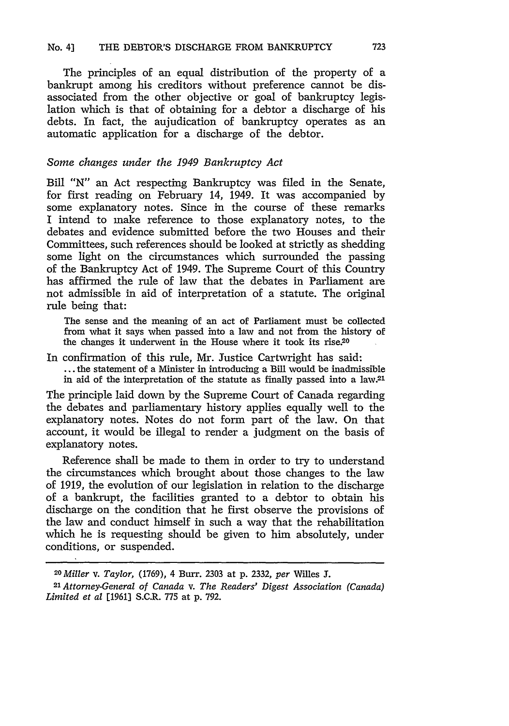The principles of an equal distribution of the property of a bankrupt among his creditors without preference cannot be disassociated from the other objective or goal of bankruptcy legislation which is that of obtaining for a debtor a discharge of his debts. In fact, the aujudication of bankruptcy operates as an automatic application for a discharge of the debtor.

## *Some changes under the 1949 Bankruptcy Act*

Bill "N" an Act respecting Bankruptcy was filed in the Senate, for first reading on February 14, 1949. It was accompanied by some explanatory notes. Since in the course of these remarks I intend to make reference to those explanatory notes, to the debates and evidence submitted before the two Houses and their Committees, such references should be looked at strictly as shedding some light on the circumstances which surrounded the passing of the Bankruptcy Act of 1949. The Supreme Court of this Country has affirmed the rule of law that the debates in Parliament are not admissible in aid of interpretation of a statute. The original rule being that:

The sense and the meaning of an act of Parliament must be collected from what it says when passed into a law and not from the history of the changes it underwent in the House where it took its rise.20

In confirmation of this rule, Mr. Justice Cartwright has said: ... the statement of a Minister in introducing a Bill would be inadmissible in aid of the interpretation of the statute as finally passed into a law.2'

The principle laid down by the Supreme Court of Canada regarding the debates and parliamentary history applies equally well to the explanatory notes. Notes do not form part of the law. On that account, it would be illegal to render a judgment on the basis of explanatory notes.

Reference shall be made to them in order to try to understand the circumstances which brought about those changes to the law of 1919, the evolution of our legislation in relation to the discharge of a bankrupt, the facilities granted to a debtor to obtain his discharge on the condition that he first observe the provisions of the law and conduct himself in such a way that the rehabilitation which he is requesting should be given to him absolutely, under conditions, or suspended.

*2oMiller v. Taylor,* (1769), 4 Burr. 2303 at p. 2332, *per* Wiles **J.** *<sup>2</sup> 1 Attorney-General of Canada v. The Readers' Digest Association (Canada) Limited et at* **[1961]** S.C.R. 775 at p. 792.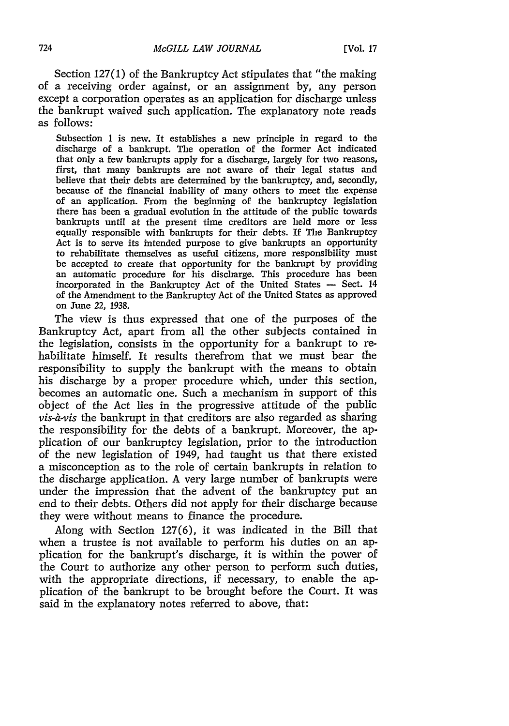Section 127(1) of the Bankruptcy Act stipulates that "the making of a receiving order against, or an assignment by, any person except a corporation operates as an application for discharge unless the bankrupt waived such application. The explanatory note reads as follows:

Subsection 1 is new. It establishes a new principle in regard to the discharge of a bankrupt. The operation of the former Act indicated that only a few bankrupts apply for a discharge, largely for two reasons, first, that many bankrupts are not aware of their legal status and believe that their debts are determined by the bankruptcy, and, secondly, because of the financial inability of many others to meet the expense of an application. From the beginning of the bankruptcy legislation there has been a gradual evolution in the attitude of the public towards bankrupts until at the present time creditors are held more or less equally responsible with bankrupts for their debts. If The Bankruptcy Act is to serve its intended purpose to give bankrupts an opportunity to rehabilitate themselves as useful citizens, more responsibility must be accepted to create that opportunity for the bankrupt by providing an automatic procedure for his discharge. This procedure has been incorporated in the Bankruptcy Act of the United States - Sect. 14 of the Amendment to the Bankruptcy Act of the United States as approved on June 22, 1938.

The view is thus expressed that one of the purposes of the Bankruptcy Act, apart from all the other subjects contained in the legislation, consists in the opportunity for a bankrupt to rehabilitate himself. It results therefrom that we must bear the responsibility to supply the bankrupt with the means to obtain his discharge by a proper procedure which, under this section, becomes an automatic one. Such a mechanism in support of this object of the Act lies in the progressive attitude of the public *vis-a-vis* the bankrupt in that creditors are also regarded as sharing the responsibility for the debts of a bankrupt. Moreover, the application of our bankruptcy legislation, prior to the introduction of the new legislation of 1949, had taught us that there existed a misconception as to the role of certain bankrupts in relation to the discharge application. A very large number of bankrupts were under the impression that the advent of the bankruptcy put an end to their debts. Others did not apply for their discharge because they were without means to finance the procedure.

Along with Section 127(6), it was indicated in the Bill that when a trustee is not available to perform his duties on an application for the bankrupt's discharge, it is within the power of the Court to authorize any other person to perform such duties, with the appropriate directions, if necessary, to enable the application of the bankrupt to be brought before the Court. It was said in the explanatory notes referred to above, that: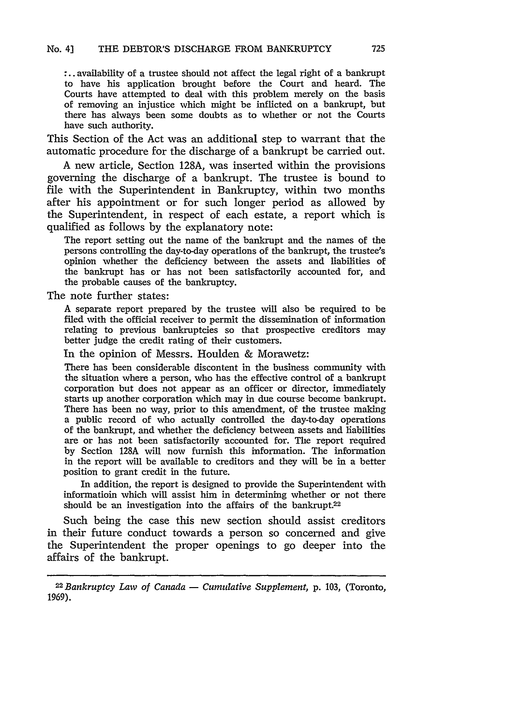**:..** availability of a trustee should not affect the legal right of a bankrupt to have his application brought before the Court and heard. The Courts have attempted to deal with this problem merely on the basis of removing an injustice which might be inflicted on a bankrupt, but there has always been some doubts as to whether or not the Courts have such authority.

This Section of the Act was an additional step to warrant that the automatic procedure for the discharge of a bankrupt be carried out.

A new article, Section 128A, was inserted within the provisions governing the discharge of a bankrupt. The trustee is bound to file with the Superintendent in Bankruptcy, within two months after his appointment or for such longer period as allowed by the Superintendent, in respect of each estate, a report which is qualified as follows by the explanatory note:

The report setting out the name of the bankrupt and the names of the persons controlling the day-to-day operations of the bankrupt, the trustee's opinion whether the deficiency between the assets and liabilities of the bankrupt has or has not been satisfactorily accounted for, and the probable causes of the bankruptcy.

The note further states:

A separate report prepared by the trustee will also be required to be filed with the official receiver to permit the dissemination of information relating to previous bankruptcies so that prospective creditors may better judge the credit rating of their customers.

In the opinion of Messrs. Houlden & Morawetz:

There has been considerable discontent in the business community with the situation where a person, who has the effective control of a bankrupt corporation but does not appear as an officer or director, immediately starts up another corporation which may in due course become bankrupt. There has been no way, prior to this amendment, of the trustee making a public record of who actually controlled the day-to-day operations of the bankrupt, and whether the deficiency between assets and liabilities are or has not been satisfactorily accounted for. The report required by Section 128A will now furnish this information. The information in the report will be available to creditors and they will be in a better position to grant credit in the future.

In addition, the report is designed to provide the Superintendent with informatioin which will assist him in determining whether or not there should be an investigation into the affairs of the bankrupt.<sup>22</sup>

Such being the case this new section should assist creditors in their future conduct towards a person so concerned and give the Superintendent the proper openings to go deeper into the affairs of the bankrupt.

*<sup>2</sup> 2 Bankruptcy Law of Canada* - *Cumulative Supplement,* **p.** 103, (Toronto, 1969).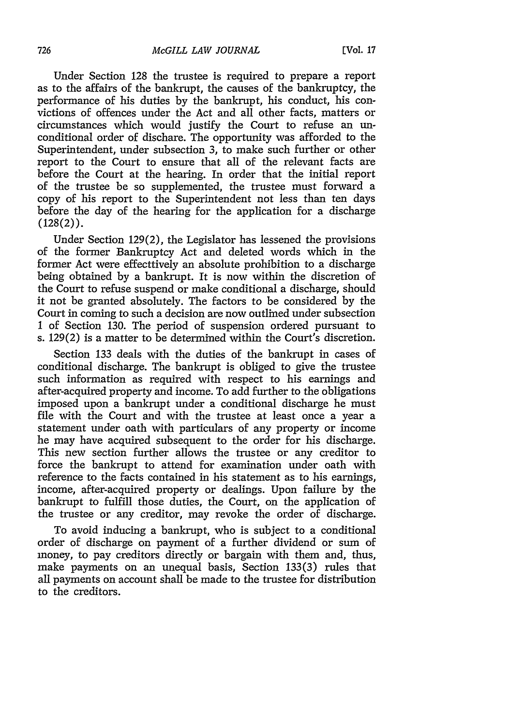Under Section 128 the trustee is required to prepare a report as to the affairs of the bankrupt, the causes of the bankruptcy, the performance of his duties by the bankrupt, his conduct, his convictions of offences under the Act and all other facts, matters or circumstances which would justify the Court to refuse an unconditional order of dischare. The opportunity was afforded to the Superintendent, under subsection *3,* to make such further or other report to the Court to ensure that all of the relevant facts are before the Court at the hearing. In order that the initial report of the trustee be so supplemented, the trustee must forward a copy of his report to the Superintendent not less than ten days before the day of the hearing for the application for a discharge  $(128(2))$ .

Under Section 129(2), the Legislator has lessened the provisions of the former Bankruptcy Act and deleted words which in the former Act were effecttively an absolute prohibition to a discharge being obtained by a bankrupt. It is now within the discretion of the Court to refuse suspend or make conditional a discharge, should it not be granted absolutely. The factors to be considered by the Court in coming to such a decision are now outlined under subsection 1 of Section 130. The period of suspension ordered pursuant to s. 129(2) is a matter to be determined within the Court's discretion.

Section 133 deals with the duties of the bankrupt in cases of conditional discharge. The bankrupt is obliged to give the trustee such information as required with respect to his earnings and after-acquired property and income. To add further to the obligations imposed upon a bankrupt under a conditional discharge he must file with the Court and with the trustee at least once a year a statement under oath with particulars of any property or income he may have acquired subsequent to the order for his discharge. This new section further allows the trustee or any creditor to force the bankrupt to attend for examination under oath with reference to the facts contained in his statement as to his earnings, income, after-acquired property or dealings. Upon failure by the bankrupt to fulfill those duties, the Court, on the application of the trustee or any creditor, may revoke the order of discharge.

To avoid inducing a bankrupt, who is subject to a conditional order of discharge on payment of a further dividend or sum of money, to pay creditors directly or bargain with them and, thus, make payments on an unequal basis, Section 133(3) rules that all payments on account shall be made to the trustee for distribution to the creditors.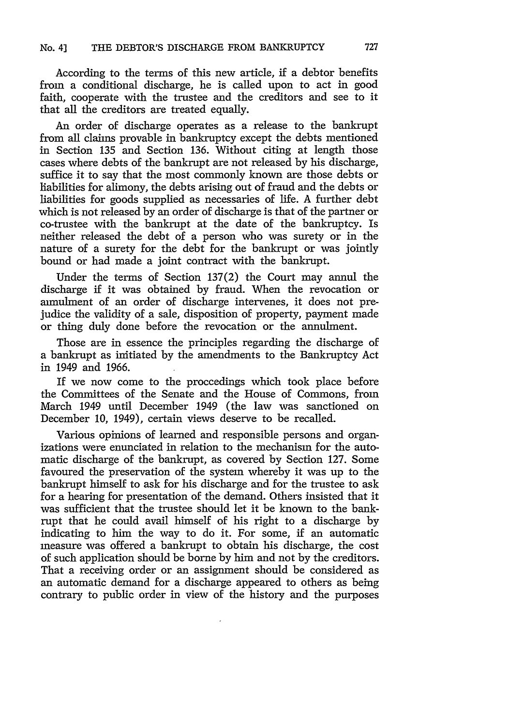According to the terms of this new article, if a debtor benefits from a conditional discharge, he is called upon to act in good faith, cooperate with the trustee and the creditors and see to it that all the creditors are treated equally.

An order of discharge operates as a release to the bankrupt from all claims provable in bankruptcy except the debts mentioned in Section **135** and Section **136.** Without citing at length those cases where debts of the bankrupt are not released **by** his discharge, suffice it to say that the most commonly known are those debts or liabilities for alimony, the debts arising out of fraud and the debts or liabilities for goods supplied as necessaries of life. A further debt which is not released **by** an order of discharge is that of the partner or co-trustee with the bankrupt at the date of the bankruptcy. Is neither released the debt of a person who was surety or in the nature of a surety for the debt for the bankrupt or was jointly bound or had made a joint contract with the bankrupt.

Under the terms of Section 137(2) the Court may annul the discharge if it was obtained **by** fraud. When the revocation or annulment of an order of discharge intervenes, it does not prejudice the validity of a sale, disposition of property, payment made or thing duly done before the revocation or the annulment.

Those are in essence the principles regarding the discharge of a bankrupt as initiated **by** the amendments to the Bankruptcy Act in 1949 and 1966.

If we now come to the proceedings which took place before the Committees of the Senate and the House of Commons, from March 1949 until December 1949 (the law was sanctioned on December 10, 1949), certain views deserve to be recalled.

Various opinions of learned and responsible persons and organizations were enunciated in relation to the mechanism for the automatic discharge of the bankrupt, as covered **by** Section 127. Some favoured the preservation of the system whereby it was up to the bankrupt himself to ask for his discharge and for the trustee to ask for a hearing for presentation of the demand. Others insisted that it was sufficient that the trustee should let it be known to the bankrupt that he could avail himself of his right to a discharge **by** indicating to him the way to do it. For some, if an automatic measure was offered a bankrupt to obtain his discharge, the cost of such application should be borne **by** him and not **by** the creditors. That a receiving order or an assignment should be considered as an automatic demand for a discharge appeared to others as being contrary to public order in view of the history and the purposes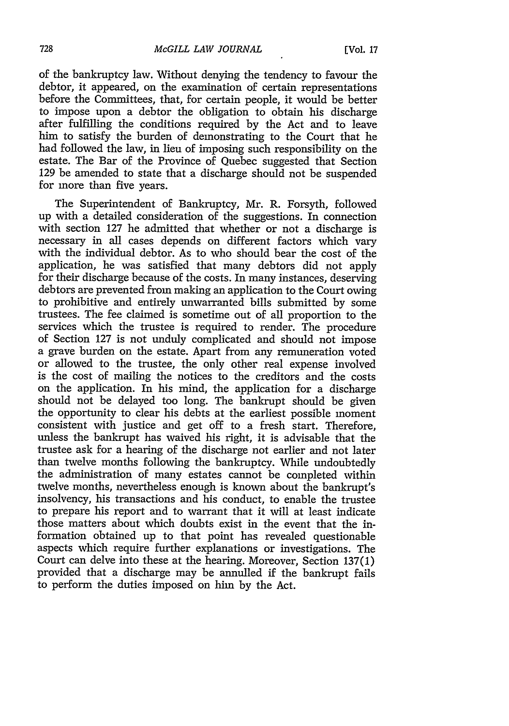of the bankruptcy law. Without denying the tendency to favour the debtor, it appeared, on the examination of certain representations before the Committees, that, for certain people, it would be better to impose upon a debtor the obligation to obtain his discharge after fulfilling the conditions required by the Act and to leave him to satisfy the burden of demonstrating to the Court that he had followed the law, in lieu of imposing such responsibility on the estate. The Bar of the Province of Quebec suggested that Section 129 be amended to state that a discharge should not be suspended for more than five years.

The Superintendent of Bankruptcy, Mr. R. Forsyth, followed up with a detailed consideration of the suggestions. In connection with section 127 he admitted that whether or not a discharge is necessary in all cases depends on different factors which vary with the individual debtor. As to who should bear the cost of the application, he was satisfied that many debtors did not apply for their discharge because of the costs. In many instances, deserving debtors are prevented from making an application to the Court owing to prohibitive and entirely unwarranted bills submitted by some trustees. The fee claimed is sometime out of all proportion to the services which the trustee is required to render. The procedure of Section 127 is not unduly complicated and should not impose a grave burden on the estate. Apart from any remuneration voted or allowed to the trustee, the only other real expense involved is the cost of mailing the notices to the creditors and the costs on the application. In his mind, the application for a discharge should not be delayed too long. The bankrupt should be given the opportunity to clear his debts at the earliest possible moment consistent with justice and get off to a fresh start. Therefore, unless the bankrupt has waived his right, it is advisable that the trustee ask for a hearing of the discharge not earlier and not later than twelve months following the bankruptcy. While undoubtedly the administration of many estates cannot be completed within twelve months, nevertheless enough is known about the bankrupt's insolvency, his transactions and his conduct, to enable the trustee to prepare his report and to warrant that it will at least indicate those matters about which doubts exist in the event that the information obtained up to that point has revealed questionable aspects which require further explanations or investigations. The Court can delve into these at the hearing. Moreover, Section 137(1) provided that a discharge may be annulled if the bankrupt fails to perform the duties imposed on him by the Act.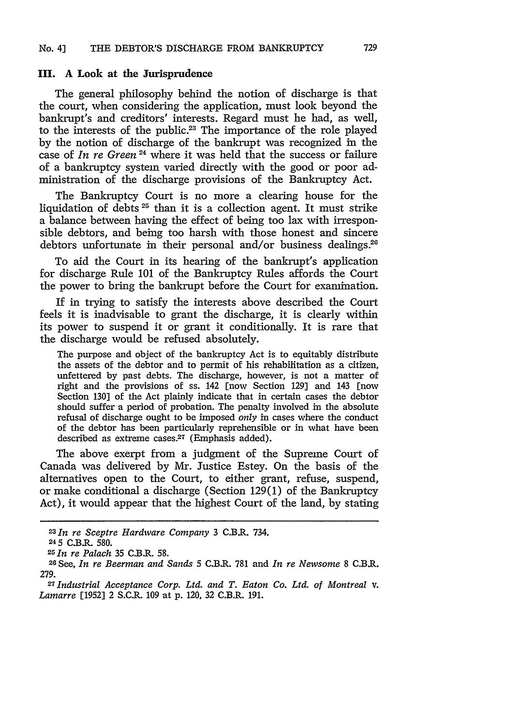#### **III. A** Look at the Jurisprudence

The general philosophy behind the notion of discharge is that the court, when considering the application, must look beyond the bankrupt's and creditors' interests. Regard must he had, as well, to the interests of the public.<sup>23</sup> The importance of the role played by the notion of discharge of the bankrupt was recognized in the case of *In re Green* 24 where it was held that the success or failure of a bankruptcy system varied directly with the good or poor administration of the discharge provisions of the Bankruptcy Act.

The Bankruptcy Court is no more a clearing house for the liquidation of debts  $25$  than it is a collection agent. It must strike a balance between having the effect of being too lax with irresponsible debtors, and being too harsh with those honest and sincere debtors unfortunate in their personal and/or business dealings.<sup>26</sup>

To aid the Court in its hearing of the bankrupt's application for discharge Rule 101 of the Bankruptcy Rules affords the Court the power to bring the bankrupt before the Court for examination.

If in trying to satisfy the interests above described the Court feels it is inadvisable to grant the discharge, it is clearly within its power to suspend it or grant it conditionally. It is rare that the discharge would be refused absolutely.

The purpose and object of the bankruptcy Act is to equitably distribute the assets of the debtor and to permit of his rehabilitation as a citizen, unfettered by past debts. The discharge, however, is not a matter of right and the provisions of ss. 142 [now Section 129] and 143 [now Section 130] of the Act plainly indicate that in certain cases the debtor should suffer a period of probation. The penalty involved in the absolute refusal of discharge ought to be imposed *only* in cases where the conduct of the debtor has been particularly reprehensible or in what have been described as extreme cases. $27$  (Emphasis added).

The above exerpt from a judgment of the Supreme Court of Canada was delivered by Mr. Justice Estey. On the basis of the alternatives open to the Court, to either grant, refuse, suspend, or make conditional a discharge (Section 129(1) of the Bankruptcy Act), it would appear that the highest Court of the land, by stating

*<sup>23</sup> 1n re Sceptre Hardware Company* 3 C.B.R. 734.

<sup>245</sup> C.B.R. 580.

*<sup>25</sup> In re Palach* 35 C.B.R. 58.

<sup>26</sup> See, *In re Beerman and Sands* 5 C.B.R. **781** and *In re Newsome* 8 C.B.R. 279. *<sup>27</sup>Industrial Acceptance Corp. Ltd. and T. Eaton Co. Ltd. of Montreal v.*

*Lamarre* [1952] 2 S.C.R. **109** at p. 120, 32 C.B.R. 191.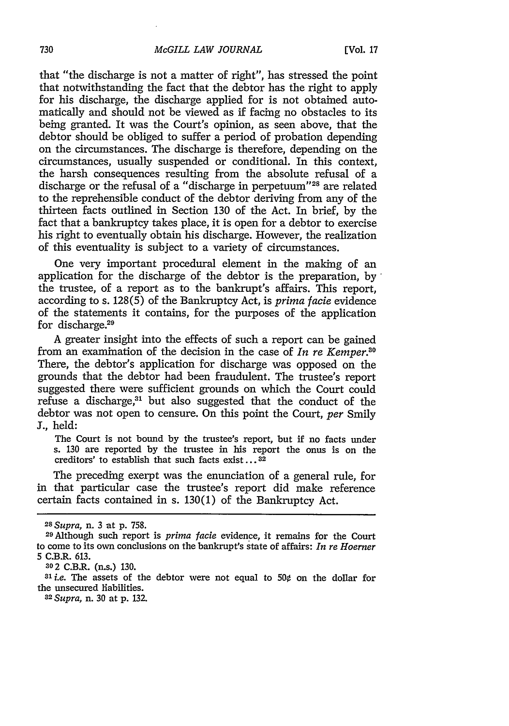that "the discharge is not a matter of right", has stressed the point that notwithstanding the fact that the debtor has the right to apply for his discharge, the discharge applied for is not obtained automatically and should not be viewed as if facing no obstacles to its being granted. It was the Court's opinion, as seen above, that the debtor should be obliged to suffer a period of probation depending on the circumstances. The discharge is therefore, depending on the circumstances, usually suspended or conditional. In this context, the harsh consequences resulting from the absolute refusal of a discharge or the refusal of a "discharge in perpetuum"<sup>28</sup> are related to the reprehensible conduct of the debtor deriving from any of the thirteen facts outlined in Section 130 of the Act. In brief, by the fact that a bankruptcy takes place, it is open for a debtor to exercise his right to eventually obtain his discharge. However, the realization of this eventuality is subject to a variety of circumstances.

One very important procedural element in the making of an application for the discharge of the debtor is the preparation, by the trustee, of a report as to the bankrupt's affairs. This report, according to s. 128(5) of the Bankruptcy Act, is *prima facie* evidence of the statements it contains, for the purposes of the application for discharge.<sup>29</sup>

A greater insight into the effects of such a report can be gained from an examination of the decision in the case of *In re Kemper30* There, the debtor's application for discharge was opposed on the grounds that the debtor had been fraudulent. The trustee's report suggested there were sufficient grounds on which the Court could refuse a discharge,"' but also suggested that the conduct of the debtor was not open to censure. On this point the Court, *per* Smily J., held:

The Court is not bound by the trustee's report, but if no facts under s. 130 are reported by the trustee in his report the onus is on the creditors' to establish that such facts exist...<sup>32</sup>

The preceding exerpt was the enunciation of a general rule, for in that particular case the trustee's report did make reference certain facts contained in s. 130(1) of the Bankruptcy Act.

<sup>31</sup>*i.e.* The assets of the debtor were not equal to  $50¢$  on the dollar for the unsecured liabilities.

<sup>32</sup>*Supra,* n. 30 at p. 132.

*<sup>28</sup> Supra,* n. 3 at p. 758.

<sup>29</sup>Although such report is *prima* facie evidence, it remains for the Court to come to its own conclusions on the bankrupt's state of affairs: *In re Hoerner* 5 C.B.R. 613.

*<sup>802</sup>* C.B.R. (n.s.) 130.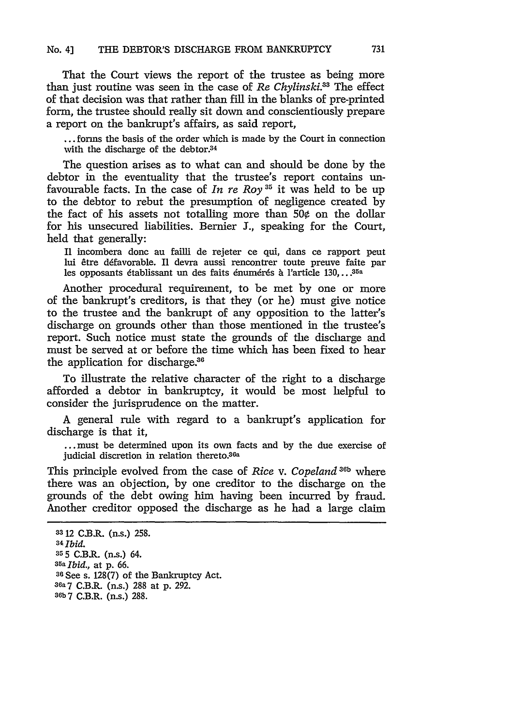That the Court views the report of the trustee as being more than just routine was seen in the case of *Re Chylinski*.<sup>33</sup> The effect of that decision was that rather than fill in the blanks of pre-printed form, the trustee should really sit down and conscientiously prepare a report on the bankrupt's affairs, as said report,

... forms the basis of the order which is made by the Court in connection with the discharge of the debtor.34

The question arises as to what can and should be done by the debtor in the eventuality that the trustee's report contains unfavourable facts. In the case of *In re Roy 3'* it was held to be up to the debtor to rebut the presumption of negligence created by the fact of his assets not totalling more than 50 $\phi$  on the dollar for his unsecured liabilities. Bernier **J.,** speaking for the Court, held that generally:

I1 incombera donc au failli de rejeter ce qui, dans ce rapport peut lui être défavorable. Il devra aussi rencontrer toute preuve faite par les opposants établissant un des faits énumérés à l'article 130,...<sup>35a</sup>

Another procedural requirement, to be met by one or more of the bankrupt's creditors, is that they (or he) must give notice to the trustee and the bankrupt of any opposition to the latter's discharge on grounds other than those mentioned in the trustee's report. Such notice must state the grounds of the discharge and must be served at or before the time which has been fixed to hear the application for discharge.<sup>36</sup>

To illustrate the relative character of the right to a discharge afforded a debtor in bankruptcy, it would be most helpful to consider the jurisprudence on the matter.

A general rule with regard to a bankrupt's application for discharge is that it,

**...** must be determined upon its own facts and by the due exercise of judicial discretion in relation thereto.<sup>36a</sup>

This principle evolved from the case of *Rice* v. *Copeland* **36b** where there was an objection, by one creditor to the discharge on the grounds of the debt owing him having been incurred by fraud. Another creditor opposed the discharge as he had a large claim

**<sup>3</sup>** 12 C.B.R. (n.s.) 258. *34 Ibid.* **<sup>35</sup>**5 C.B.R. (n.s.) 64. **35a** *Ibid.,* at p. 66. **<sup>36</sup>**See s. 128(7) of the Bankruptcy Act. **36a** 7 C.B.R. (n.s.) 288 at p. 292. **36b** 7 C.B.R. (n.s.) 288.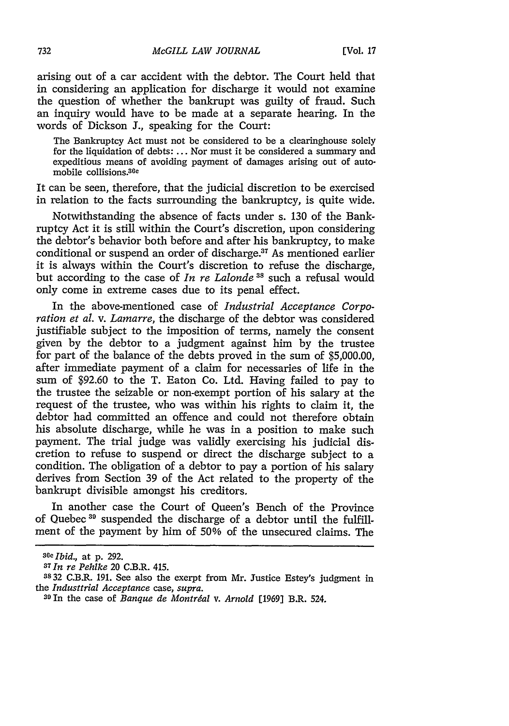arising out of a car accident with the debtor. The Court held that in considering an application for discharge it would not examine the question of whether the bankrupt was guilty of fraud. Such an inquiry would have to be made at a separate hearing. In the words of Dickson **J.,** speaking for the Court:

The Bankruptcy Act must not be considered to be a clearinghouse solely for the liquidation of debts: **...** Nor must it be considered a summary and expeditious means of avoiding payment of damages arising out of automobile collisions.30e

It can be seen, therefore, that the judicial discretion to be exercised in relation to the facts surrounding the bankruptcy, is quite wide.

Notwithstanding the absence of facts under s. **130** of the Bankruptcy Act it is still within the Court's discretion, upon considering the debtor's behavior both before and after his bankruptcy, to make conditional or suspend an order of discharge.<sup>37</sup> As mentioned earlier it is always within the Court's discretion to refuse the discharge, but according to the case of *In re Lalonde 3s* such a refusal would only come in extreme cases due to its penal effect.

In the above-mentioned case of *Industrial Acceptance Corporation et al. v. Lamarre,* the discharge of the debtor was considered justifiable subject to the imposition of terms, namely the consent given **by** the debtor to a judgment against him **by** the trustee for part of the balance of the debts proved in the sum of **\$5,000.00,** after immediate payment of a claim for necessaries of life in the sum of **\$92.60** to the T. Eaton Co. Ltd. Having failed to pay to the trustee the seizable or non-exempt portion of his salary at the request of the trustee, who was within his rights to claim it, the debtor had committed an offence and could not therefore obtain his absolute discharge, while he was in a position to make such payment. The trial judge was validly exercising his judicial discretion to refuse to suspend or direct the discharge subject to a condition. The obligation of a debtor to pay a portion of his salary derives from Section **39** of the Act related to the property of the bankrupt divisible amongst his creditors.

In another case the Court of Queen's Bench of the Province of Quebec 39 suspended the discharge of a debtor until the fulfillment of the payment **by** him of **50%** of the unsecured claims. The

*Ibid.,* at **p. 292.**

*<sup>37</sup> In re Pehlke* 20 C.B.R. 415.

**<sup>3832</sup>** C.B.R. **191.** See also the exerpt from Mr. Justice Estey's judgment in the *Industtrial Acceptance* case, *supra.* <sup>39</sup> 1n the case of *Banque de Montrdal v. Arnold* **[1969]** B.R. 524.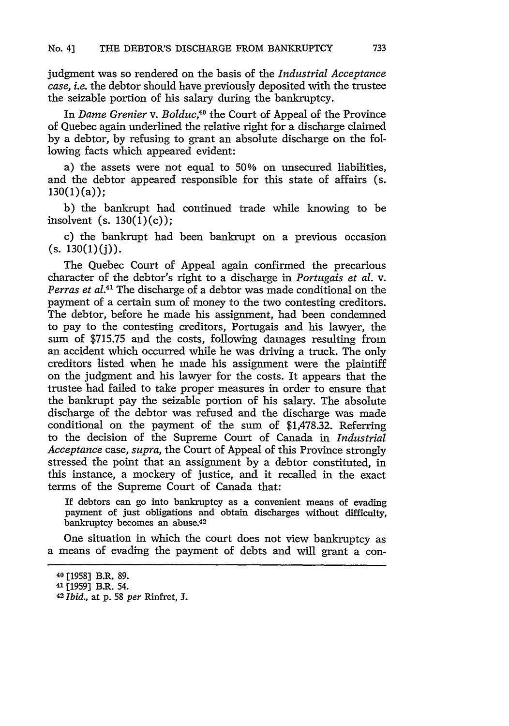judgment was so rendered on the basis of the *Industrial Acceptance case, i.e.* the debtor should have previously deposited with the trustee the seizable portion of his salary during the bankruptcy.

In *Dame Grenier v. Bolduc,40* the Court of Appeal of the Province of Quebec again underlined the relative right for a discharge claimed **by** a debtor, **by** refusing to grant an absolute discharge on the following facts which appeared evident:

a) the assets were not equal to **50%** on unsecured liabilities, and the debtor appeared responsible for this state of affairs (s.  $130(1)(a)$ ;

b) the bankrupt had continued trade while knowing to be insolvent (s.  $130(1)(c)$ );

c) the bankrupt had been bankrupt on a previous occasion  $(s. 130(1)(j)).$ 

The Quebec Court of Appeal again confirmed the precarious character of the debtor's right to a discharge in *Portugais et al.* v. Perras et al.<sup>41</sup> The discharge of a debtor was made conditional on the payment of a certain sum of money to the two contesting creditors. The debtor, before he made his assignment, had been condemned to pay to the contesting creditors, Portugais and his lawyer, the sum of **\$715.75** and the costs, following damages resulting from an accident which occurred while he was driving a truck. The only creditors listed when he made his assignment were the plaintiff on the judgment and his lawyer for the costs. It appears that the trustee had failed to take proper measures in order to ensure that the bankrupt pay the seizable portion of his salary. The absolute discharge of the debtor was refused and the discharge was made conditional on the payment of the sum of \$1,478.32. Referring to the decision of the Supreme Court of Canada in *Industrial Acceptance* case, *supra,* the Court of Appeal of this Province strongly stressed the point that an assignment **by** a debtor constituted, in this instance, a mockery of justice, and it recalled in the exact terms of the Supreme Court of Canada that:

If debtors can go into bankruptcy as a convenient means of evading payment of just obligations and obtain discharges without difficulty, bankruptcy becomes an abuse.<sup>42</sup>

One situation in which the court does not view bankruptcy as a means of evading the payment of debts and will grant a con-

**<sup>40 [1958]</sup>** B.R. **89.**

<sup>41 [1959]</sup> B.R. 54.

<sup>42</sup> *Ibd.,* at **p. 58** *per* Rinfret, **J.**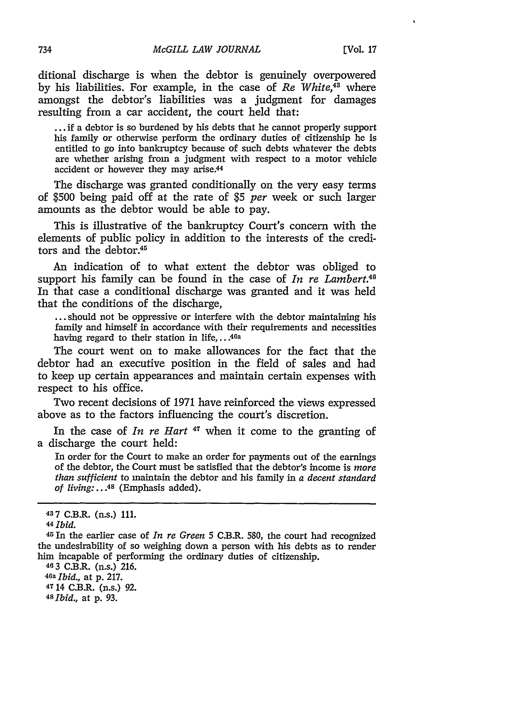ditional discharge is when the debtor is genuinely overpowered **by** his liabilities. For example, in the case of *Re White,43* where amongst the debtor's liabilities was a judgment for damages resulting from a car accident, the court held that:

**...** if a debtor is so burdened **by** his debts that he cannot properly support his family or otherwise perform the ordinary duties of citizenship he is entitled to go into bankruptcy because of such debts whatever the debts are whether arising from a judgment with respect to a motor vehicle accident or however they may arise.44

The discharge was granted conditionally on the very easy terms of **\$500** being paid off at the rate of **\$5** *per* week or such larger amounts as the debtor would be able to pay.

This is illustrative of the bankruptcy Court's concern with the elements of public policy in addition to the interests of the creditors and the debtor.<sup>45</sup>

An indication of to what extent the debtor was obliged to support his family can be found in the case of *In re Lambert.4* In that case a conditional discharge was granted and it was held that the conditions of the discharge,

**...** should not be oppressive or interfere with the debtor maintaining his family and himself in accordance with their requirements and necessities having regard to their station in **life,...46a**

The court went on to make allowances for the fact that the debtor had an executive position in the field of sales and had to keep up certain appearances and maintain certain expenses with respect to his office.

Two recent decisions of **1971** have reinforced the views expressed above as to the factors influencing the court's discretion.

In the case of *In re Hart* **47** when it come to the granting of a discharge the court held:

In order for the Court to make an order for payments out of the earnings of the debtor, the Court must be satisfied that the debtor's income is *more than sufficient* to maintain the debtor and his family in *a decent standard of living:.. .48* (Emphasis added).

*46a Ibid.,* at **p. 217. 47** 14 C.B.R. (n.s.) **92.** *<sup>48</sup>Ibid.,* at **p. 93.**

**<sup>437</sup>** C.B.R. (n.s.) **111.**

**<sup>44</sup>***Ibid.*

<sup>4</sup> SIn the earlier case of *In re Green* **5** C.B.R. **580,** the court had recognized the undesirability of so weighing down a person with his debts as to render him incapable of performing the ordinary duties of citizenship. **463 C.B.R.** (n.s.) 216.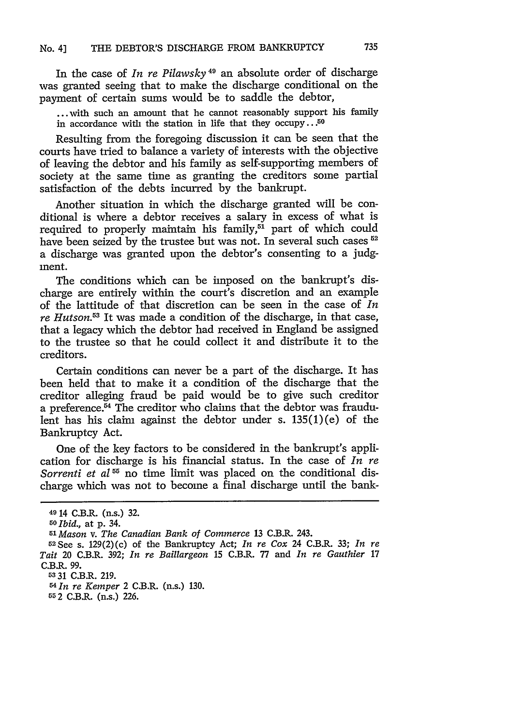In the case of *In re Pilawsky* 49 an absolute order of discharge was granted seeing that to make the discharge conditional on the payment of certain sums would be to saddle the debtor,

... with such an amount that he cannot reasonably support his family in accordance with the station in life that they occupy... $50$ 

Resulting from the foregoing discussion it can be seen that the courts have tried to balance a variety of interests with the objective of leaving the debtor and his family as self-supporting members of society at the same time as granting the creditors some partial satisfaction of the debts incurred by the bankrupt.

Another situation in which the discharge granted will be conditional is where a debtor receives a salary in excess of what is required to properly maintain his family, $5\overline{1}$  part of which could have been seized by the trustee but was not. In several such cases **52** a discharge was granted upon the debtor's consenting to a judgment.

The conditions which can be imposed on the bankrupt's discharge are entirely within the court's discretion and an example of the lattitude of that discretion can be seen in the case of *In re Hutson.53* It was made a condition of the discharge, in that case, that a legacy which the debtor had received in England be assigned to the trustee so that he could collect it and distribute it to the creditors.

Certain conditions can never be a part of the discharge. It has been held that to make it a condition of the discharge that the creditor alleging fraud be paid would be to give such creditor a preference.<sup>54</sup> The creditor who claims that the debtor was fraudulent has his claim against the debtor under s.  $135(1)(e)$  of the Bankruptcy Act.

One of the key factors to be considered in the bankrupt's application for discharge is his financial status. In the case of *In re Sorrenti et al*<sup>55</sup> no time limit was placed on the conditional discharge which was not to become a final discharge until the bank-

**53** 31 C.B.R. 219.

*54 In re Kemper* 2 C.B.R. (n.s.) 130.

55 *2* C.B.R. (n.s.) 226.

<sup>4914</sup> C.B.R. (n.s.) 32.

**<sup>50</sup>***Ibid.,* at **p.** 34.

*<sup>51</sup>Mason v. The Canadian Bank of Commerce* 13 C.B.R. 243.

<sup>5</sup>2See s. 129(2)(c) of the Bankruptcy Act; *In re Cox* 24 C.B.R. **33;** *In re Tait* 20 C.B.R. 392; *In re Baillargeon* 15 C.B.R. 77 and *In re Gauthier* 17 C.B.R. 99.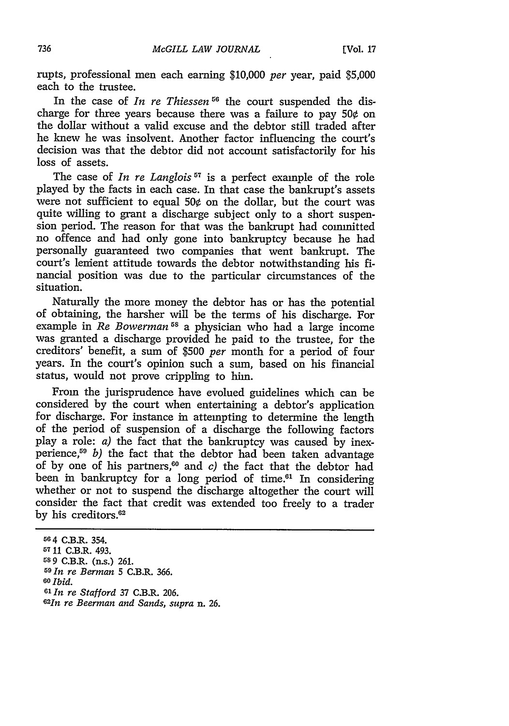rupts, professional men each earning **\$10,000** *per* year, paid **\$5,000** each to the trustee.

In the case of *In re Thiessen* **56** the court suspended the discharge for three years because there was a failure to pay **50¢** on the dollar without a valid excuse and the debtor still traded after he knew he was insolvent. Another factor influencing the court's decision was that the debtor did not account satisfactorily for his loss of assets.

The case of *In re Langlois*<sup>57</sup> is a perfect example of the role played **by** the facts in each case. In that case the bankrupt's assets were not sufficient to equal 50¢ on the dollar, but the court was quite willing to grant a discharge subject only to a short suspension period. The reason for that was the bankrupt had committed no offence and had only gone into bankruptcy because he had personally guaranteed two companies that went bankrupt. The court's lenient attitude towards the debtor notwithstanding his **fi**nancial position was due to the particular circumstances of the situation.

Naturally the more money the debtor has or has the potential of obtaining, the harsher will be the terms of his discharge. For example in *Re Bowerman*<sup>58</sup> a physician who had a large income was granted a discharge provided he paid to the trustee, for the creditors' benefit, a sum of **\$500** *per* month for a period of four years. In the court's opinion such a sum, based on his financial status, would not prove crippling to him.

From the jurisprudence have evolued guidelines which can be considered **by** the court when entertaining a debtor's application for discharge. For instance in attempting to determine the length of the period of suspension of a discharge the following factors play a role: a) the fact that the bankruptcy was caused **by** inexperience,59 *b)* the fact that the debtor had been taken advantage of **by** one of his partners,60 and *c)* the fact that the debtor had been in bankruptcy for a long period of time.<sup>61</sup> In considering whether or not to suspend the discharge altogether the court will consider the fact that credit was extended too freely to a trader **by** his creditors.62

**<sup>56</sup>**4 C.B.R. 354. 57 **11 C.B.R. 493. 58 9** C.B.R. (n.s.) **261. <sup>59</sup>***In re Berman* **5** C.B.R. **366. 60** *Ibid.* **6' In** *re Stafford* **37** C.B.R. **206.** *<sup>6</sup>2In re Beerman and Sands, supra* n. **26.**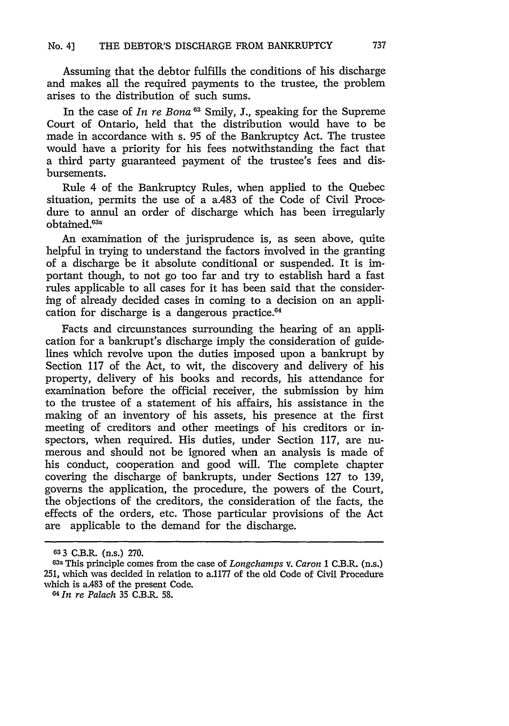Assuming that the debtor fulfills the conditions of his discharge and makes all the required payments to the trustee, the problem arises to the distribution of such sums.

In the case of *In re Bona 63* Smily, **J.,** speaking for the Supreme Court of Ontario, held that the distribution would have to be made in accordance with s. 95 of the Bankruptcy Act. The trustee would have a priority for his fees notwithstanding the fact that a third party guaranteed payment of the trustee's fees and disbursements.

Rule 4 of the Bankruptcy Rules, when applied to the Quebec situation, permits the use of a a.483 of the Code of Civil Procedure to annul an order of discharge which has been irregularly obtained.<sup>63a</sup>

An examination of the jurisprudence is, as seen above, quite helpful in trying to understand the factors involved in the granting of a discharge be it absolute conditional or suspended. It is important though, to not go too far and try to establish hard a fast rules applicable to all cases for it has been said that the considering of already decided cases in coming to a decision on an application for discharge is a dangerous practice.<sup>64</sup>

Facts and circumstances surrounding the hearing of an application for a bankrupt's discharge imply the consideration of guidelines which revolve upon the duties imposed upon a bankrupt by Section 117 of the Act, to wit, the discovery and delivery of his property, delivery of his books and records, his attendance for examination before the official receiver, the submission by him to the trustee of a statement of his affairs, his assistance in the making of an inventory of his assets, his presence at the first meeting of creditors and other meetings of his creditors or inspectors, when required. His duties, under Section 117, are numerous and should not be ignored when an analysis is made of his conduct, cooperation and good will. The complete chapter covering the discharge of bankrupts, under Sections 127 to 139, governs the application, the procedure, the powers of the Court, the objections of the creditors, the consideration of the facts, the effects of the orders, etc. Those particular provisions of the Act are applicable to the demand for the discharge.

**<sup>633</sup>** C.B.R. (n.s.) **270.**

**<sup>63</sup>a** This principle comes from the case of *Longchamps v. Caron* 1 C.B.R. (n.s.) 251, which was decided in relation to a.1177 of the old Code of Civil Procedure which is aA83 of the present Code.

*<sup>64</sup> In re Palach* **35** C.B.R. **58.**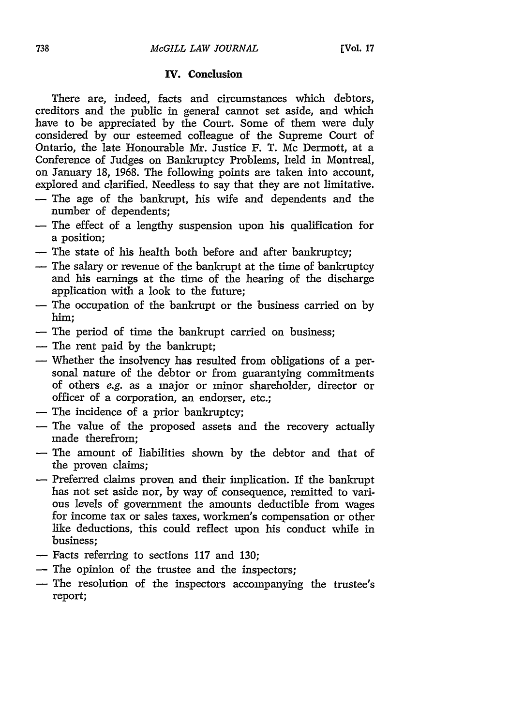## **IV.** Conclusion

There are, indeed, facts and circumstances which debtors, creditors and the public in general cannot set aside, and which have to be appreciated **by** the Court. Some of them were duly considered **by** our esteemed colleague of the Supreme Court of Ontario, the late Honourable Mr. Justice F. T. Mc Dermott, at a Conference of Judges on Bankruptcy Problems, held in Montreal, on January **18, 1968.** The following points are taken into account, explored and clarified. Needless to say that they are not limitative.

- **-** The age of the bankrupt, his wife and dependents and the number of dependents;
- **-** The effect of a lengthy suspension upon his qualification for a position;
- **-** The state of his health both before and after bankruptcy;
- **-** The salary or revenue of the bankrupt at the time of bankruptcy and his earnings at the time of the hearing of the discharge application with a look to the future;
- **-** The occupation of the bankrupt or the business carried on **by** him;
- **-** The period of time the bankrupt carried on business;
- **-** The rent paid **by** the bankrupt;
- **-** Whether the insolvency has resulted from obligations of a personal nature of the debtor or from guarantying commitments of others e.g. as a major or minor shareholder, director or officer of a corporation, an endorser, etc.;
- **-** The incidence of a prior bankruptcy;
- **-** The value of the proposed assets and the recovery actually made therefrom;
- **-** The amount of liabilities shown **by** the debtor and that of the proven claims;
- **-** Preferred claims proven and their implication. If the bankrupt has not set aside nor, **by** way of consequence, remitted to various levels of government the amounts deductible from wages for income tax or sales taxes, workmen's compensation or other like deductions, this could reflect upon his conduct while in business;
- **-** Facts referring to sections **117** and **130;**
- **-** The opinion of the trustee and the inspectors;
- **-** The resolution of the inspectors accompanying the trustee's report;